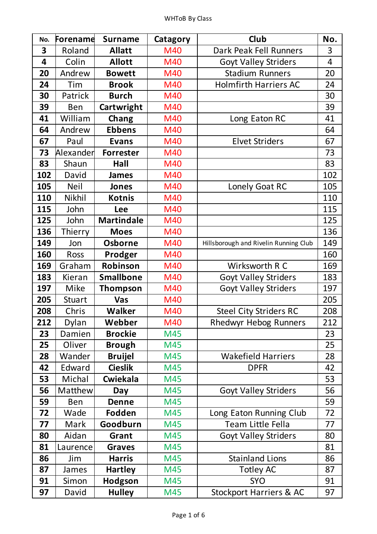| No. | <b>Forename</b> | <b>Surname</b>    | Catagory | Club                                  | No. |
|-----|-----------------|-------------------|----------|---------------------------------------|-----|
| 3   | Roland          | <b>Allatt</b>     | M40      | Dark Peak Fell Runners                | 3   |
| 4   | Colin           | <b>Allott</b>     | M40      | <b>Goyt Valley Striders</b>           | 4   |
| 20  | Andrew          | <b>Bowett</b>     | M40      | <b>Stadium Runners</b>                | 20  |
| 24  | Tim             | <b>Brook</b>      | M40      | <b>Holmfirth Harriers AC</b>          | 24  |
| 30  | Patrick         | <b>Burch</b>      | M40      |                                       | 30  |
| 39  | <b>Ben</b>      | Cartwright        | M40      |                                       | 39  |
| 41  | William         | <b>Chang</b>      | M40      | Long Eaton RC                         | 41  |
| 64  | Andrew          | <b>Ebbens</b>     | M40      |                                       | 64  |
| 67  | Paul            | <b>Evans</b>      | M40      | <b>Elvet Striders</b>                 | 67  |
| 73  | Alexander       | <b>Forrester</b>  | M40      |                                       | 73  |
| 83  | Shaun           | Hall              | M40      |                                       | 83  |
| 102 | David           | <b>James</b>      | M40      |                                       | 102 |
| 105 | <b>Neil</b>     | Jones             | M40      | Lonely Goat RC                        | 105 |
| 110 | <b>Nikhil</b>   | <b>Kotnis</b>     | M40      |                                       | 110 |
| 115 | John            | <b>Lee</b>        | M40      |                                       | 115 |
| 125 | John            | <b>Martindale</b> | M40      |                                       | 125 |
| 136 | Thierry         | <b>Moes</b>       | M40      |                                       | 136 |
| 149 | Jon             | <b>Osborne</b>    | M40      | Hillsborough and Rivelin Running Club | 149 |
| 160 | Ross            | Prodger           | M40      |                                       | 160 |
| 169 | Graham          | Robinson          | M40      | Wirksworth R C                        | 169 |
| 183 | Kieran          | <b>Smallbone</b>  | M40      | <b>Goyt Valley Striders</b>           | 183 |
| 197 | Mike            | Thompson          | M40      | <b>Goyt Valley Striders</b>           | 197 |
| 205 | <b>Stuart</b>   | <b>Vas</b>        | M40      |                                       | 205 |
| 208 | Chris           | <b>Walker</b>     | M40      | <b>Steel City Striders RC</b>         | 208 |
| 212 | Dylan           | Webber            | M40      | <b>Rhedwyr Hebog Runners</b>          | 212 |
| 23  | Damien          | <b>Brockie</b>    | M45      |                                       | 23  |
| 25  | Oliver          | <b>Brough</b>     | M45      |                                       | 25  |
| 28  | Wander          | <b>Bruijel</b>    | M45      | <b>Wakefield Harriers</b>             | 28  |
| 42  | Edward          | <b>Cieslik</b>    | M45      | <b>DPFR</b>                           | 42  |
| 53  | Michal          | <b>Cwiekala</b>   | M45      |                                       | 53  |
| 56  | Matthew         | Day               | M45      | <b>Goyt Valley Striders</b>           | 56  |
| 59  | <b>Ben</b>      | <b>Denne</b>      | M45      |                                       | 59  |
| 72  | Wade            | Fodden            | M45      | Long Eaton Running Club               | 72  |
| 77  | Mark            | Goodburn          | M45      | <b>Team Little Fella</b>              | 77  |
| 80  | Aidan           | Grant             | M45      | <b>Goyt Valley Striders</b>           | 80  |
| 81  | Laurence        | <b>Graves</b>     | M45      |                                       | 81  |
| 86  | Jim             | <b>Harris</b>     | M45      | <b>Stainland Lions</b>                | 86  |
| 87  | James           | <b>Hartley</b>    | M45      | <b>Totley AC</b>                      | 87  |
| 91  | Simon           | Hodgson           | M45      | <b>SYO</b>                            | 91  |
| 97  | David           | <b>Hulley</b>     | M45      | <b>Stockport Harriers &amp; AC</b>    | 97  |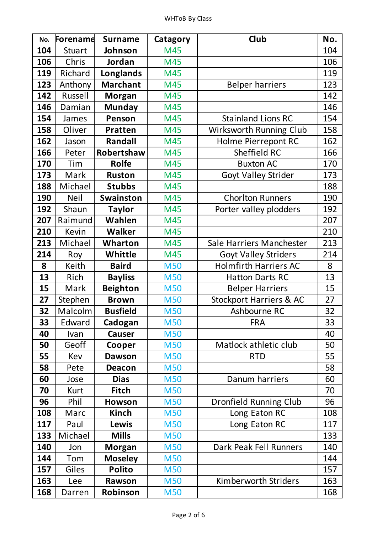| No. | Forename      | <b>Surname</b>   | Catagory   | Club                               | No. |
|-----|---------------|------------------|------------|------------------------------------|-----|
| 104 | <b>Stuart</b> | Johnson          | M45        |                                    | 104 |
| 106 | Chris         | Jordan           | M45        |                                    | 106 |
| 119 | Richard       | Longlands        | M45        |                                    | 119 |
| 123 | Anthony       | <b>Marchant</b>  | M45        | <b>Belper harriers</b>             | 123 |
| 142 | Russell       | <b>Morgan</b>    | M45        |                                    | 142 |
| 146 | Damian        | <b>Munday</b>    | M45        |                                    | 146 |
| 154 | James         | Penson           | M45        | <b>Stainland Lions RC</b>          | 154 |
| 158 | Oliver        | <b>Pratten</b>   | M45        | Wirksworth Running Club            | 158 |
| 162 | Jason         | <b>Randall</b>   | M45        | Holme Pierrepont RC                | 162 |
| 166 | Peter         | Robertshaw       | M45        | Sheffield RC                       | 166 |
| 170 | Tim           | Rolfe            | M45        | <b>Buxton AC</b>                   | 170 |
| 173 | Mark          | <b>Ruston</b>    | M45        | <b>Goyt Valley Strider</b>         | 173 |
| 188 | Michael       | <b>Stubbs</b>    | M45        |                                    | 188 |
| 190 | <b>Neil</b>   | <b>Swainston</b> | M45        | <b>Chorlton Runners</b>            | 190 |
| 192 | Shaun         | Taylor           | M45        | Porter valley plodders             | 192 |
| 207 | Raimund       | Wahlen           | M45        |                                    | 207 |
| 210 | Kevin         | <b>Walker</b>    | M45        |                                    | 210 |
| 213 | Michael       | Wharton          | M45        | Sale Harriers Manchester           | 213 |
| 214 | Roy           | Whittle          | M45        | <b>Goyt Valley Striders</b>        | 214 |
| 8   | Keith         | <b>Baird</b>     | <b>M50</b> | <b>Holmfirth Harriers AC</b>       | 8   |
| 13  | Rich          | <b>Bayliss</b>   | <b>M50</b> | <b>Hatton Darts RC</b>             | 13  |
| 15  | Mark          | <b>Beighton</b>  | <b>M50</b> | <b>Belper Harriers</b>             | 15  |
| 27  | Stephen       | <b>Brown</b>     | <b>M50</b> | <b>Stockport Harriers &amp; AC</b> | 27  |
| 32  | Malcolm       | <b>Busfield</b>  | <b>M50</b> | Ashbourne RC                       | 32  |
| 33  | Edward        | Cadogan          | <b>M50</b> | <b>FRA</b>                         | 33  |
| 40  | Ivan          | <b>Causer</b>    | <b>M50</b> |                                    | 40  |
| 50  | Geoff         | Cooper           | <b>M50</b> | Matlock athletic club              | 50  |
| 55  | Kev           | <b>Dawson</b>    | <b>M50</b> | <b>RTD</b>                         | 55  |
| 58  | Pete          | <b>Deacon</b>    | <b>M50</b> |                                    | 58  |
| 60  | Jose          | <b>Dias</b>      | <b>M50</b> | Danum harriers                     | 60  |
| 70  | <b>Kurt</b>   | <b>Fitch</b>     | <b>M50</b> |                                    | 70  |
| 96  | Phil          | <b>Howson</b>    | <b>M50</b> | <b>Dronfield Running Club</b>      | 96  |
| 108 | Marc          | Kinch            | <b>M50</b> | Long Eaton RC                      | 108 |
| 117 | Paul          | Lewis            | <b>M50</b> | Long Eaton RC                      | 117 |
| 133 | Michael       | <b>Mills</b>     | <b>M50</b> |                                    | 133 |
| 140 | Jon           | <b>Morgan</b>    | <b>M50</b> | Dark Peak Fell Runners             | 140 |
| 144 | Tom           | <b>Moseley</b>   | <b>M50</b> |                                    | 144 |
| 157 | Giles         | <b>Polito</b>    | <b>M50</b> |                                    | 157 |
| 163 | <b>Lee</b>    | Rawson           | <b>M50</b> | Kimberworth Striders               | 163 |
| 168 | Darren        | Robinson         | <b>M50</b> |                                    | 168 |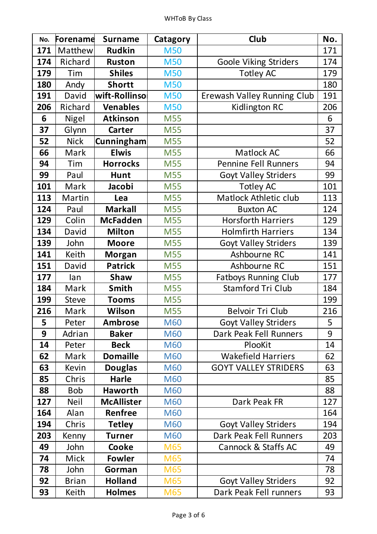| No. | Forename     | <b>Surname</b>    | Catagory   | Club                               | No. |
|-----|--------------|-------------------|------------|------------------------------------|-----|
| 171 | Matthew      | <b>Rudkin</b>     | <b>M50</b> |                                    | 171 |
| 174 | Richard      | <b>Ruston</b>     | <b>M50</b> | <b>Goole Viking Striders</b>       | 174 |
| 179 | Tim          | <b>Shiles</b>     | <b>M50</b> | <b>Totley AC</b>                   | 179 |
| 180 | Andy         | <b>Shortt</b>     | <b>M50</b> |                                    | 180 |
| 191 | David        | wift-Rollinso     | <b>M50</b> | <b>Erewash Valley Running Club</b> | 191 |
| 206 | Richard      | <b>Venables</b>   | <b>M50</b> | Kidlington RC                      | 206 |
| 6   | Nigel        | <b>Atkinson</b>   | M55        |                                    | 6   |
| 37  | Glynn        | Carter            | M55        |                                    | 37  |
| 52  | <b>Nick</b>  | Cunningham        | M55        |                                    | 52  |
| 66  | Mark         | <b>Elwis</b>      | M55        | Matlock AC                         | 66  |
| 94  | Tim          | <b>Horrocks</b>   | M55        | <b>Pennine Fell Runners</b>        | 94  |
| 99  | Paul         | <b>Hunt</b>       | M55        | <b>Goyt Valley Striders</b>        | 99  |
| 101 | Mark         | Jacobi            | <b>M55</b> | <b>Totley AC</b>                   | 101 |
| 113 | Martin       | Lea               | <b>M55</b> | Matlock Athletic club              | 113 |
| 124 | Paul         | <b>Markall</b>    | <b>M55</b> | <b>Buxton AC</b>                   | 124 |
| 129 | Colin        | <b>McFadden</b>   | <b>M55</b> | <b>Horsforth Harriers</b>          | 129 |
| 134 | David        | <b>Milton</b>     | <b>M55</b> | <b>Holmfirth Harriers</b>          | 134 |
| 139 | John         | <b>Moore</b>      | <b>M55</b> | <b>Goyt Valley Striders</b>        | 139 |
| 141 | Keith        | <b>Morgan</b>     | <b>M55</b> | Ashbourne RC                       | 141 |
| 151 | David        | <b>Patrick</b>    | <b>M55</b> | Ashbourne RC                       | 151 |
| 177 | lan          | <b>Shaw</b>       | <b>M55</b> | <b>Fatboys Running Club</b>        | 177 |
| 184 | Mark         | <b>Smith</b>      | <b>M55</b> | <b>Stamford Tri Club</b>           | 184 |
| 199 | <b>Steve</b> | <b>Tooms</b>      | <b>M55</b> |                                    | 199 |
| 216 | Mark         | Wilson            | M55        | <b>Belvoir Tri Club</b>            | 216 |
| 5   | Peter        | <b>Ambrose</b>    | <b>M60</b> | <b>Goyt Valley Striders</b>        | 5   |
| 9   | Adrian       | <b>Baker</b>      | <b>M60</b> | Dark Peak Fell Runners             | 9   |
| 14  | Peter        | <b>Beck</b>       | <b>M60</b> | PlooKit                            | 14  |
| 62  | Mark         | <b>Domaille</b>   | <b>M60</b> | <b>Wakefield Harriers</b>          | 62  |
| 63  | <b>Kevin</b> | <b>Douglas</b>    | <b>M60</b> | <b>GOYT VALLEY STRIDERS</b>        | 63  |
| 85  | Chris        | <b>Harle</b>      | <b>M60</b> |                                    | 85  |
| 88  | <b>Bob</b>   | <b>Haworth</b>    | <b>M60</b> |                                    | 88  |
| 127 | <b>Neil</b>  | <b>McAllister</b> | <b>M60</b> | Dark Peak FR                       | 127 |
| 164 | Alan         | Renfree           | <b>M60</b> |                                    | 164 |
| 194 | Chris        | <b>Tetley</b>     | <b>M60</b> | <b>Goyt Valley Striders</b>        | 194 |
| 203 | Kenny        | Turner            | <b>M60</b> | Dark Peak Fell Runners             | 203 |
| 49  | John         | Cooke             | M65        | Cannock & Staffs AC                | 49  |
| 74  | <b>Mick</b>  | <b>Fowler</b>     | M65        |                                    | 74  |
| 78  | John         | Gorman            | M65        |                                    | 78  |
| 92  | <b>Brian</b> | <b>Holland</b>    | M65        | <b>Goyt Valley Striders</b>        | 92  |
| 93  | Keith        | <b>Holmes</b>     | M65        | Dark Peak Fell runners             | 93  |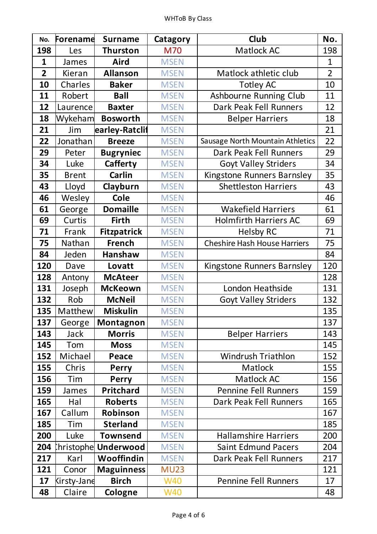| No.            | <b>Forename</b> | <b>Surname</b>     | Catagory    | Club                                | No.            |
|----------------|-----------------|--------------------|-------------|-------------------------------------|----------------|
| 198            | Les             | <b>Thurston</b>    | <b>M70</b>  | Matlock AC                          | 198            |
| 1              | James           | <b>Aird</b>        | <b>MSEN</b> |                                     | $\mathbf{1}$   |
| $\overline{2}$ | Kieran          | <b>Allanson</b>    | <b>MSEN</b> | Matlock athletic club               | $\overline{2}$ |
| 10             | Charles         | <b>Baker</b>       | <b>MSEN</b> | <b>Totley AC</b>                    | 10             |
| 11             | Robert          | <b>Ball</b>        | <b>MSEN</b> | Ashbourne Running Club              | 11             |
| 12             | Laurence        | <b>Baxter</b>      | <b>MSEN</b> | Dark Peak Fell Runners              | 12             |
| 18             | Wykeham         | <b>Bosworth</b>    | <b>MSEN</b> | <b>Belper Harriers</b>              | 18             |
| 21             | Jim             | earley-Ratclif     | <b>MSEN</b> |                                     | 21             |
| 22             | Jonathan        | <b>Breeze</b>      | <b>MSEN</b> | Sausage North Mountain Athletics    | 22             |
| 29             | Peter           | <b>Bugryniec</b>   | <b>MSEN</b> | Dark Peak Fell Runners              | 29             |
| 34             | Luke            | Cafferty           | <b>MSEN</b> | <b>Goyt Valley Striders</b>         | 34             |
| 35             | <b>Brent</b>    | <b>Carlin</b>      | <b>MSEN</b> | Kingstone Runners Barnsley          | 35             |
| 43             | Lloyd           | Clayburn           | <b>MSEN</b> | <b>Shettleston Harriers</b>         | 43             |
| 46             | Wesley          | <b>Cole</b>        | <b>MSEN</b> |                                     | 46             |
| 61             | George          | <b>Domaille</b>    | <b>MSEN</b> | <b>Wakefield Harriers</b>           | 61             |
| 69             | Curtis          | <b>Firth</b>       | <b>MSEN</b> | <b>Holmfirth Harriers AC</b>        | 69             |
| 71             | Frank           | <b>Fitzpatrick</b> | <b>MSEN</b> | <b>Helsby RC</b>                    | 71             |
| 75             | Nathan          | <b>French</b>      | <b>MSEN</b> | <b>Cheshire Hash House Harriers</b> | 75             |
| 84             | Jeden           | <b>Hanshaw</b>     | <b>MSEN</b> |                                     | 84             |
| 120            | Dave            | Lovatt             | <b>MSEN</b> | Kingstone Runners Barnsley          | 120            |
| 128            | Antony          | <b>McAteer</b>     | <b>MSEN</b> |                                     | 128            |
| 131            | Joseph          | <b>McKeown</b>     | <b>MSEN</b> | London Heathside                    | 131            |
| 132            | Rob             | <b>McNeil</b>      | <b>MSEN</b> | <b>Goyt Valley Striders</b>         | 132            |
| 135            | <b>Matthew</b>  | <b>Miskulin</b>    | <b>MSEN</b> |                                     | 135            |
| 137            | George          | Montagnon          | <b>MSEN</b> |                                     | 137            |
| 143            | Jack            | <b>Morris</b>      | <b>MSEN</b> | <b>Belper Harriers</b>              | 143            |
| 145            | Tom             | <b>Moss</b>        | <b>MSEN</b> |                                     | 145            |
| 152            | Michael         | Peace              | <b>MSEN</b> | <b>Windrush Triathlon</b>           | 152            |
| 155            | Chris           | <b>Perry</b>       | <b>MSEN</b> | Matlock                             | 155            |
| 156            | Tim             | <b>Perry</b>       | <b>MSEN</b> | <b>Matlock AC</b>                   | 156            |
| 159            | James           | <b>Pritchard</b>   | <b>MSEN</b> | Pennine Fell Runners                | 159            |
| 165            | Hal             | <b>Roberts</b>     | <b>MSEN</b> | Dark Peak Fell Runners              | 165            |
| 167            | Callum          | Robinson           | <b>MSEN</b> |                                     | 167            |
| 185            | Tim             | <b>Sterland</b>    | <b>MSEN</b> |                                     | 185            |
| 200            | Luke            | <b>Townsend</b>    | <b>MSEN</b> | <b>Hallamshire Harriers</b>         | 200            |
| 204            | hristophe       | <b>Underwood</b>   | <b>MSEN</b> | <b>Saint Edmund Pacers</b>          | 204            |
| 217            | Karl            | Wooffindin         | <b>MSEN</b> | Dark Peak Fell Runners              | 217            |
| 121            | Conor           | <b>Maguinness</b>  | <b>MU23</b> |                                     | 121            |
| 17             | Kirsty-Jane     | <b>Birch</b>       | <b>W40</b>  | Pennine Fell Runners                | 17             |
| 48             | Claire          | Cologne            | <b>W40</b>  |                                     | 48             |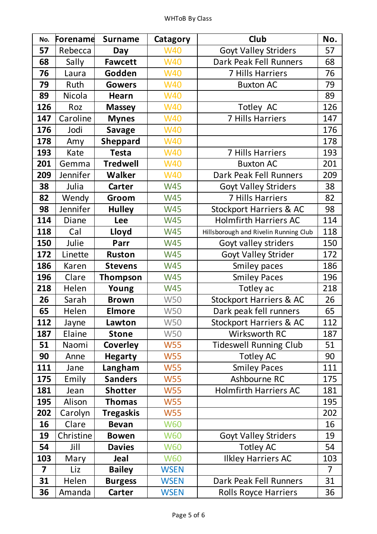| No. | <b>Forename</b> | <b>Surname</b>   | Catagory    | Club                                  | No. |
|-----|-----------------|------------------|-------------|---------------------------------------|-----|
| 57  | Rebecca         | Day              | <b>W40</b>  | <b>Goyt Valley Striders</b>           | 57  |
| 68  | Sally           | <b>Fawcett</b>   | <b>W40</b>  | Dark Peak Fell Runners                | 68  |
| 76  | Laura           | Godden           | <b>W40</b>  | <b>7 Hills Harriers</b>               | 76  |
| 79  | Ruth            | <b>Gowers</b>    | <b>W40</b>  | <b>Buxton AC</b>                      | 79  |
| 89  | Nicola          | <b>Hearn</b>     | <b>W40</b>  |                                       | 89  |
| 126 | Roz             | <b>Massey</b>    | <b>W40</b>  | Totley AC                             | 126 |
| 147 | Caroline        | <b>Mynes</b>     | <b>W40</b>  | <b>7 Hills Harriers</b>               | 147 |
| 176 | Jodi            | <b>Savage</b>    | <b>W40</b>  |                                       | 176 |
| 178 | Amy             | Sheppard         | <b>W40</b>  |                                       | 178 |
| 193 | Kate            | <b>Testa</b>     | <b>W40</b>  | 7 Hills Harriers                      | 193 |
| 201 | Gemma           | <b>Tredwell</b>  | <b>W40</b>  | <b>Buxton AC</b>                      | 201 |
| 209 | Jennifer        | <b>Walker</b>    | <b>W40</b>  | Dark Peak Fell Runners                | 209 |
| 38  | Julia           | Carter           | <b>W45</b>  | <b>Goyt Valley Striders</b>           | 38  |
| 82  | Wendy           | Groom            | <b>W45</b>  | <b>7 Hills Harriers</b>               | 82  |
| 98  | Jennifer        | <b>Hulley</b>    | <b>W45</b>  | <b>Stockport Harriers &amp; AC</b>    | 98  |
| 114 | Diane           | <b>Lee</b>       | <b>W45</b>  | <b>Holmfirth Harriers AC</b>          | 114 |
| 118 | Cal             | Lloyd            | <b>W45</b>  | Hillsborough and Rivelin Running Club | 118 |
| 150 | Julie           | Parr             | <b>W45</b>  | Goyt valley striders                  | 150 |
| 172 | Linette         | <b>Ruston</b>    | <b>W45</b>  | <b>Goyt Valley Strider</b>            | 172 |
| 186 | Karen           | <b>Stevens</b>   | <b>W45</b>  | Smiley paces                          | 186 |
| 196 | Clare           | Thompson         | <b>W45</b>  | <b>Smiley Paces</b>                   | 196 |
| 218 | Helen           | Young            | <b>W45</b>  | Totley ac                             | 218 |
| 26  | Sarah           | <b>Brown</b>     | <b>W50</b>  | <b>Stockport Harriers &amp; AC</b>    | 26  |
| 65  | Helen           | <b>Elmore</b>    | <b>W50</b>  | Dark peak fell runners                | 65  |
| 112 | Jayne           | Lawton           | <b>W50</b>  | <b>Stockport Harriers &amp; AC</b>    | 112 |
| 187 | Elaine          | <b>Stone</b>     | <b>W50</b>  | Wirksworth RC                         | 187 |
| 51  | Naomi           | <b>Coverley</b>  | <b>W55</b>  | <b>Tideswell Running Club</b>         | 51  |
| 90  | Anne            | <b>Hegarty</b>   | <b>W55</b>  | <b>Totley AC</b>                      | 90  |
| 111 | Jane            | Langham          | <b>W55</b>  | <b>Smiley Paces</b>                   | 111 |
| 175 | Emily           | <b>Sanders</b>   | <b>W55</b>  | Ashbourne RC                          | 175 |
| 181 | Jean            | <b>Shotter</b>   | <b>W55</b>  | <b>Holmfirth Harriers AC</b>          | 181 |
| 195 | Alison          | <b>Thomas</b>    | <b>W55</b>  |                                       | 195 |
| 202 | Carolyn         | <b>Tregaskis</b> | <b>W55</b>  |                                       | 202 |
| 16  | Clare           | <b>Bevan</b>     | <b>W60</b>  |                                       | 16  |
| 19  | Christine       | <b>Bowen</b>     | <b>W60</b>  | <b>Goyt Valley Striders</b>           | 19  |
| 54  | Jill            | <b>Davies</b>    | <b>W60</b>  | <b>Totley AC</b>                      | 54  |
| 103 | Mary            | Jeal             | <b>W60</b>  | <b>Ilkley Harriers AC</b>             | 103 |
| 7   | Liz             | <b>Bailey</b>    | <b>WSEN</b> |                                       | 7   |
| 31  | Helen           | <b>Burgess</b>   | <b>WSEN</b> | Dark Peak Fell Runners                | 31  |
| 36  | Amanda          | <b>Carter</b>    | <b>WSEN</b> | <b>Rolls Royce Harriers</b>           | 36  |